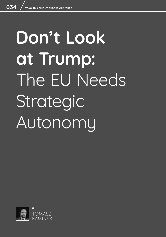# **Don't Look at Trump:**  The EU Needs Strategic Autonomy

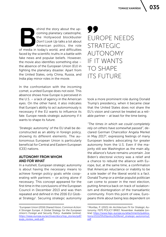ehind the story about the up-<br>
coming planetary catastrophe,<br>
the Hollywood blockbuster<br> *Don't Look Up* talks a lot about<br>
American politics, the role<br>
of media in today's world, and difficulties coming planetary catastrophe, the Hollywood blockbuster *Don't Look Up* talks a lot about American politics, the role faced by the scientific truths in a battle with fake news and popular beliefs. However, the movie also identifies something else – the absence of the European Union (EU) in fighting the planetary disaster. Apart from the United States, only China, Russia, and India play minor roles in the movie.

In the confrontation with the incoming comet, a united Europe does not exist. This absence shows how Europe is perceived in the U.S. – a lack of agency in the American eyes. On the other hand, it also indicates that Europe's ability to act autonomously is necessary if the EU wants to influence its fate. Europe needs strategic autonomy if it wants to shape its future.

'Strategic autonomy' of the EU shall be deconstructed as an ability in foreign policy, showing its different elements. The autonomous European Union is particularly beneficial for Central and Eastern European (CEE) nations.

# AUTONOMY FROM WHOM AND FOR WHAT

In a nutshell, European strategic autonomy is about having the necessary means to achieve foreign policy goals while cooperating with partners – or acting alone if necessary. This concept appeared for the first time in the conclusions of the European Council in December 2013 and was then repeated and defined in the 2016 EU Global Strategy<sup>1</sup>. Securing strategic autonomy

# 99 EUROPE NEEDS STRATEGIC AUTONOMY IF IT WANTS TO SHAPE ITS FUTURE

took a more prominent role during Donald Trump's presidency, when it became clear that the United States does not share the EU's vision and cannot be treated as a reliable partner – at least for the time being.

*"The times in which we could completely rely on others have somewhat passed"*, declared German Chancellor Angela Merkel in May 2017<sup>2</sup>, expressing feelings of many European leaders advocating for greater autonomy from the U.S. Even if the majority still see Washington as the main ally, the alliance's future remains uncertain. Joe Biden's electoral victory was a relief and a chance to rebuild the alliance with Europe, but, at the same time, a confirmation that American reluctance or inability to be a sole leader of the liberal world is a fact. Donald Trump or a similar populist politician can come to power in the next election, putting America back on track of isolationism and disintegration of the transatlantic community. From this point of view, Europeans think about being less dependent on

<sup>1</sup> European Union (2016) *Shared Vision, Common Action: A Stronger Europe. A Global Strategy for the European Union's Foreign and Security Policy*. Available [online]: [https://eeas.europa.eu/archives/docs/top\\_stories/pdf/](https://eeas.europa.eu/archives/docs/top_stories/pdf/eugs_review_web.pdf ) [eugs\\_review\\_web.pdf](https://eeas.europa.eu/archives/docs/top_stories/pdf/eugs_review_web.pdf ) 

<sup>2</sup> Morillas, P. (2021) *An Architecture Fit for Strategic Autonomy*, FEPS POLICY BRIEF, November. Available [online]: [https://www.feps-europe.eu/attachments/publica](https://www.feps-europe.eu/attachments/publications/211125%20policy%20brief_strategic-autonomy2.pdf)[tions/211125%20policy%20brief\\_strategic-autonomy2.](https://www.feps-europe.eu/attachments/publications/211125%20policy%20brief_strategic-autonomy2.pdf) [pdf](https://www.feps-europe.eu/attachments/publications/211125%20policy%20brief_strategic-autonomy2.pdf)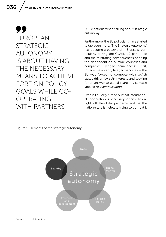99 EUROPEAN STRATEGIC AUTONOMY IS ABOUT HAVING THE NECESSARY MEANS TO ACHIEVE FOREIGN POLICY GOALS WHILE CO-OPERATING WITH PARTNERS

U.S. elections when talking about strategic autonomy.

Furthermore, the EU politicians have started to talk even more. 'The Strategic Autonomy' has become a buzzword in Brussels, particularly during the COVID-19 pandemic and the frustrating consequences of being too dependent on outside countries and companies. Trying to secure access – first, to face masks and, later, to vaccines – the EU was forced to compete with selfish states driven by self-interests and looking for an answer to global scare in a suitcase labeled *re-nationalization*.

Even if it quickly turned out that international cooperation is necessary for an efficient fight with the global pandemic and that the nation-state is helpless trying to combat it

## Figure 1: Elements of the strategic autonomy

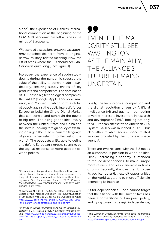037

alone3, the experience of ruthless international competition at the beginning of the COVID-19 pandemic has left a trace in the minds of Europeans.

Widespread discussions on *strategic autonomy* detached this term from its original, narrow, military-related meaning. Now, the list of areas where the EU should seek *autonomy* is quite long [See: Figure 1].

Moreover, the experience of sudden lockdowns during the pandemic stressed the value of the ability to control trade – particularly, securing supply chains of key products and components. The domination of U.S.-based big technological companies, the GAFAM (Google, Apple, Facebook, Amazon, and Microsoft), which form a global oligopoly against the public interest<sup>4</sup>, forces Europe to build the Single Digital Market that can control and constrain the power of big tech. The rising geopolitical rivalry between the United States and China and the inward-looking foreign policy of Washington urged the EU to relearn *the language of power* when relating to the rest of the world5. The *geopolitical* EU, able to define and defend European interests, seems to be the logical response to more geopolitical world politics.

# 99 EVEN IF THE MA-JORITY STILL SEE WASHINGTON AS THE MAIN ALLY, THE ALLIANCE'S FUTURE REMAINS UNCERTAIN

Finally, the technological competition and the digital revolution driven by Artificial Intelligence (AI) and quantum computing drive the interest to invest more in research and development (R&D), looking not only for a European alternative to American GPS (system Galileo was launched in 2016), but also other reliable, secure space-related services provided by the European space agency<sup>6</sup>.

There are two reasons why the EU needs an autonomous position in world politics. Firstly, increasing autonomy is intended to reduce dependencies, to make Europe more resilient and less vulnerable in times of crisis. Secondly, it allows the EU to use its political potential, exploit opportunities on the world stage, and be more efficient in defending its interests.

As for dependencies – one cannot forget that the alliance with the United States has been a cornerstone of European policy, and trying to reach strategic independence,

<sup>&</sup>lt;sup>3</sup> Combating global pandemics together with organized crime, climate change, or financial crisis belongs to the long list of areas where a nation state is inefficient acting alone. See, for example: Beck, U. (2005) *Power in the Global Age: A New Global Political Economy*, Cambridge: Polity Press.

<sup>4</sup> Smyrnaios, N. (2016) "The GAFAM Effect: Strategies and Logics of the Internet Oligopoly", [in]: *Communication & Languages*, Vol. 188(2), pp. 61-83. Available [online]: [https://www.cairn-int.info/article-E\\_COMLA\\_188\\_0061-](https://www.cairn-int.info/article-E_COMLA_188_0061--the-gafam-effect-strategies-and-logics.htm ) [-the-gafam-effect-strategies-and-logics.htm](https://www.cairn-int.info/article-E_COMLA_188_0061--the-gafam-effect-strategies-and-logics.htm ) 

<sup>5</sup> Morillas, P. (2021) *An Architecture Fit for Strategic Autonomy*, FEPS POLICY BRIEF, November. Available [online]: [https://www.feps-europe.eu/attachments/publica](https://www.feps-europe.eu/attachments/publications/211125%20policy%20brief_strategic-autonomy2.pdf  )[tions/211125%20policy%20brief\\_strategic-autonomy2.](https://www.feps-europe.eu/attachments/publications/211125%20policy%20brief_strategic-autonomy2.pdf  ) [pdf](https://www.feps-europe.eu/attachments/publications/211125%20policy%20brief_strategic-autonomy2.pdf  ) 

<sup>6</sup> The European Union Agency for the Space Programme (EUSPA) was officially launched on May 12, 2021. See: <https://www.euspa.europa.eu/about/about-euspa>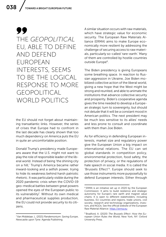# 99 THE *GEOPOLITICAL* EU, ABLE TO DEFINE AND DEFEND EUROPEAN INTERESTS, SEEMS TO BE THE LOGICAL RESPONSE TO MORE **GEOPOLITICAL** WORLD POLITICS

the EU should not forget about maintaining transatlantic links. However, the series of crises that Europe had to confront in the last decade has clearly shown that too much dependency on America puts the EU in quite an uncomfortable position.

Donald Trump's presidency made Europeans aware that the U.S. might not want to play the role of responsible leader of the liberal world. Instead of being 'the shining city on a hill,' Trump's America became rather inward-looking and a selfish power, trying to hide its weakness behind harsh patriotic rhetoric. It was particularly visible during the 2020 pandemic crisis when the COVID-19 geo-medical battles between great powers opened the eyes of the European public to its vulnerability<sup>7</sup>. Without its own medical and pharmaceutical supplies production, the EU could not provide security to its citizens.

A similar situation occurs with raw materials, which have strategic value for economic security. The European Raw Materials Alliance (ERMA) aims to make Europe economically more resilient by addressing the challenge of securing access to raw materials, particularly so-called 'rare-earth.' Many of them are controlled by hostile countries outside Europe<sup>8</sup>.

The Biden presidency is giving Europeans some breathing space. In reaction to Russian aggression in Ukraine, Joe Biden mobilized collective action of the liberal world, giving a new hope that the West might be strong and reunited, and able to animate the institutions that advance collective security and prosperity. Biden's cooperative agenda gives the time needed to develop a European strategic turn to sovereignty, but should not delude that it will be a constant mood in American politics. The next president may be much less sensitive to its allies' needs and less prone to consult and coordinate with them than Joe Biden.

As for efficiency in defending European interests, market size and regulatory power give the European Union a big impact on international relations. The EU can set global standards in competition policy, environmental protection, food safety, the protection of privacy, or the regulations of hate speech in social media. It is called the 'Brussels Effect'9. Europe should seek to use those instruments more purposefully to defend European interests. Either through

<sup>7</sup> Van Middelaar, L. (2021) *Pandemonium: Saving Europe*, Newcastle upon Tyne: Agenda Publishing.

<sup>&</sup>lt;sup>8</sup> ERMA is an initiative set up in 2020 by the European Commission. It aims to build resilience and strategic autonomy for Europe's rare earth and magnet value chains. It is open to different stakeholders, including business, EU countries and regions, trade unions, civil society, research and technology organizations, investors, and NGOs. See the official website of the European Raw Material Alliance:<https://erma.eu>

<sup>9</sup> Bradford, A. (2020) *The Brussels Effect: How the European Union Rules the World*, New York, NY: Oxford University Press.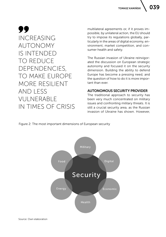99 INCREASING AUTONOMY IS INTENDED TO REDUCE DEPENDENCIES, TO MAKE EUROPE MORE RESILIENT AND LESS VULNERABLE IN TIMES OF CRISIS

multilateral agreements or, if it proves impossible, by unilateral action, the EU should try to impose its regulations globally, particularly in the areas of digital economy, environment, market competition, and consumer health and safety.

The Russian invasion of Ukraine reinvigorated the discussion on European strategic autonomy and focused it on the security dimension. Building the ability to defend Europe has become a pressing need, and the question of how to do it is more important than ever.

# AUTONOMOUS SECURITY PROVIDER

The traditional approach to security has been very much concentrated on military issues and confronting military threats. It is still a crucial security area, as the Russian invasion of Ukraine has shown. However,

Figure 2: The most important dimensions of European security

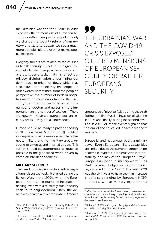the Ukrainian war and the COVID-19 crisis exposed other dimensions of European security or rather, Europeans' security. If only we change the security referent from *territory* and *state* to *people*, we see a much more complex picture of what makes people insecure.

Everyday threats are related to topics such as health security (COVID-19 is a great example), climate change, access to food and energy, cyber-attacks that may affect our privacy, disinformation undermining our democracy, or migration flows, which may also cause some security challenges. In other words, sometimes, from the people's perspective, the number of beds in hospitals might be more important for their security than the number of tanks, and the number of doctors and nurses is more important than the number of soldiers<sup>10</sup>. There are, however, no *less* or *more* important security areas – they are all intersected.

Europe should be ready to provide security in all critical areas [See: Figure 2)], building a comprehensive defense system that connects military and non-military areas, respond to external and internal threats. This system should be autonomous as much as possible in the globalized world driven by complex interdependencies<sup>11</sup>.

## MILITARY SECURITY

The need for Europe's military autonomy is a long-discussed topic. It started during the Balkan Wars in the 1990s, when the European Union turned out to be incapable of dealing even with a relatively small security crisis in its neighborhood. Then, the debate was heated a few times when America

99 THE UKRAINIAN WAR AND THE COVID-19 CRISIS EXPOSED OTHER DIMENSIONS OF EUROPEAN SE-CURITY OR RATHER, EUROPEANS' **SECURITY** 

announced a "pivot to Asia", during the Arab Spring, the first Russian invasion of Ukraine in 2014, and, finally, during the second invasion in 2022. All those events signaled that the era of the so-called 'peace dividend'<sup>12</sup> was over.

Europe is, and has always been, a military power. Even if European military capabilities are limited due to the current fragmentation of defense markets, problems with interoperability, and lack of the European Army<sup>13</sup>, Europe is no longer a "military worm" – as Mark Eyskens, Belgium's foreign minister, summed it up in  $1991<sup>14</sup>$ . The year  $2020$ was the sixth year to have seen an increase in defense spending by European NATO members, whose military expenditures

<sup>10</sup> Kamiński, T. (2021) "Foreign and Security Policy", [in]: *Liberal White Book Europe 2030*, European Liberal Forum, p. 202.

<sup>11</sup> Keohane, R. and J. Nye (2001) *Power and Interdependence*, New York, NY: Longman.

<sup>&</sup>lt;sup>12</sup> After the collapse of the Soviet Union, many Western countries cut their military spending. It allowed them to redirected public money flows to social programs or decreased taxation rates.

<sup>13</sup> Belhay, S. (2019) *A European Army by and For Europeans*, Initiative Policy Document, May.

<sup>&</sup>lt;sup>14</sup> Kamiński, T. (2021) "Foreign and Security Policy", [in]: *Liberal White Book Europe 2030*, European Liberal Forum, p. 202.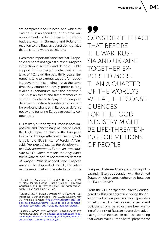are comparable to Chinese, and which far exceed Russian spending in this area. Announcements of big increases in defense budgets (e.g., in Germany and Poland) in reaction to the Russian aggression signaled that this trend would accelerate.

Even more important is the fact that European citizens are not against further European integration in security and defense. Public support for it remained unchanged, at the level of 75% over the past thirty years. Europeans tend to express support for reducing government spending, but at the same time they counterintuitively prefer cutting civilian expenditures over the defense<sup>15</sup>. The Russian threat and fresh memories of Trump's reluctance to "pay for a European defense"16 create a favorable environment for profound changes in European defense policy and fostering European security cooperation.

Full military autonomy of Europe is both impossible and unnecessary. As Joseph Borell, the High Representative of the European Union for Foreign Affairs and Security Policy, a kind of EU Minister of Foreign Affairs, said: *"no one advocates the development of a fully autonomous European force outside NATO, which remains the only viable framework to ensure the territorial defense of Europe."*17 What is needed is the European Army at the disposal of the EU, the internal defense market integrated around the

99 CONSIDER THE FACT THAT BEFORE THE WAR, RUS-SIA AND UKRAINE TOGETHER EX-PORTED MORE THAN A QUARTER OF THE WORLD'S WHEAT, THE CONSE-QUENCES FOR THE FOOD INDUSTRY MIGHT BE LIFE-THREATEN-ING FOR MILLIONS OF PEOPLE

European Defense Agency, and close political and military cooperation with the United States, which ensures coherence between the EU and NATO.

From the CEE perspective, directly endangered by Russian aggressive policy, the development of European military capabilities is welcomed. For many years, experts and politicians from the region have been warning of the risk of Russian aggression, advocating for an increase in defense spending that would make Europe better prepared for

<sup>15</sup> Schilde, K., Anderson S. B., and A. D. Garner (2019) "A More Martial Europe? Public Opinion, Permissive Consensus, and EU Defence Policy", [in]: *European Security*, No. 2, April 3, pp. 153–72.

<sup>16</sup> Stupp C. (2017) "Trump Demands NATO Payment – But Makes No Defence Pledge", [in]: *Euroactive.com*, May 26. Available [online]: [https://www.euractiv.com/sec](https://www.euractiv.com/section/politics/news/trump-issues-ferocious-demand-for-nato-payments-but-makes-no-defence-pledge/)[tion/politics/news/trump-issues-ferocious-demand](https://www.euractiv.com/section/politics/news/trump-issues-ferocious-demand-for-nato-payments-but-makes-no-defence-pledge/)[for-nato-payments-but-makes-no-defence-pledge/](https://www.euractiv.com/section/politics/news/trump-issues-ferocious-demand-for-nato-payments-but-makes-no-defence-pledge/)

<sup>17</sup> Borell, J. (2020) Why European Strategic Autonomy Matters. Available [online]: [https://eeas.europa.eu/head](https://eeas.europa.eu/headquarters/headquarters-homepage/89865/why-european-strategic-autonomy-matters_en )[quarters/headquarters-homepage/89865/why-europe](https://eeas.europa.eu/headquarters/headquarters-homepage/89865/why-european-strategic-autonomy-matters_en )[an-strategic-autonomy-matters\\_en](https://eeas.europa.eu/headquarters/headquarters-homepage/89865/why-european-strategic-autonomy-matters_en )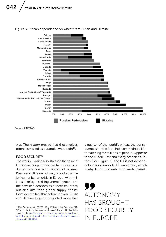

Figure 3: African dependence on wheat from Russia and Ukraine

Source: UNCTAD

war. The history proved that those voices, often dismissed as paranoid, were right $18$ .

## FOOD SECURITY

The war in Ukraine also stressed the value of European independence as far as food production is concerned. The conflict between Russia and Ukraine not only provoked a major humanitarian crisis in Europe, with millions of refugees, rising unemployment, and the devasted economies of both countries, but also disturbed global supply chains. Consider the fact that before the war, Russia and Ukraine together exported more than

a quarter of the world's wheat, the consequences for the food industry might be lifethreatening for millions of people. Opposite to the Middle East and many African countries [See: Figure 3], the EU is not dependent on food imported from abroad, which is why its food security is not endangered.



<sup>18</sup> *The Economist* (2020) "Why Poland Has Become NA-TO's Linchpin in the War in Ukraine", March 12. Available [online]: [https://www.economist.com/europe/poland](https://www.economist.com/europe/poland-will-play-an-outsized-role-in-western-efforts-to-assist-ukraine/21808064)[will-play-an-outsized-role-in-western-efforts-to-assist](https://www.economist.com/europe/poland-will-play-an-outsized-role-in-western-efforts-to-assist-ukraine/21808064)[ukraine/21808064](https://www.economist.com/europe/poland-will-play-an-outsized-role-in-western-efforts-to-assist-ukraine/21808064)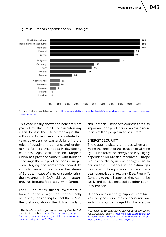

#### Figure 4: European dependence on Russian gas

Source: Statista. Available [online]: [https://www.statista.com/chart/26768/dependence-on-russian-gas-by-euro](https://www.statista.com/chart/26768/dependence-on-russian-gas-by-european-country/)[pean-country/](https://www.statista.com/chart/26768/dependence-on-russian-gas-by-european-country/)

This case clearly shows the benefits from years of investments in European autonomy in this domain. The EU Common Agricultural Policy (CAP) has been much contested for years as expensive, wasteful, ignoring the rules of supply and demand, and undermining farmers' livelihoods in developing countries<sup>19</sup>. Against all of this, the European Union has provided farmers with funds to encourage them to produce food in Europe, even if buying food from abroad looked like a much cheaper option to feed the citizens of Europe. In case of a major security crisis, the investments in CAP paid back – autonomy has brought food security in Europe.

For CEE countries, further investment in food autonomy might be economically beneficial, considering the fact that 25% of the rural population in the EU live in Poland and Romania. Those two countries are also important food producers, employing more than  $\overline{3}$  million people in agriculture<sup>20</sup>.

# ENERGY SECURITY

The opposite picture emerges when analyzing the impact of the invasion of Ukraine by Russian forces on energy security. Highly dependent on Russian resources, Europe is at risk of sliding into an energy crisis. In particular, disturbances in the natural gas supply might bring troubles to many European countries that rely on it [See: Figure 4]. Contrary to the oil supplies, they cannot be easily and quickly replaced by other countries' imports.

Dependence on energy supplies from Russia is very costly in times of economic war with this country, waged by the West in

<sup>19</sup> The list of the main arguments *for* and *against* the CAP may be found here: [https://www.debatingeurope.eu/](https://www.debatingeurope.eu/focus/arguments-for-and-against-the-common-agricultural-policy/#.YjXWYerMLrc ) [focus/arguments-for-and-against-the-common-agri](https://www.debatingeurope.eu/focus/arguments-for-and-against-the-common-agricultural-policy/#.YjXWYerMLrc )[cultural-policy/#.YjXWYerMLrc](https://www.debatingeurope.eu/focus/arguments-for-and-against-the-common-agricultural-policy/#.YjXWYerMLrc ) 

<sup>20</sup> Eurostat (2021) *Statistical Factsheet European Union*, June. Available [online]: [https://ec.europa.eu/info/sites/](https://ec.europa.eu/info/sites/default/files/food-farming-fisheries/farming/documents/agri-statistical-factsheet-eu_en.pdf) [default/files/food-farming-fisheries/farming/docu](https://ec.europa.eu/info/sites/default/files/food-farming-fisheries/farming/documents/agri-statistical-factsheet-eu_en.pdf)[ments/agri-statistical-factsheet-eu\\_en.pdf](https://ec.europa.eu/info/sites/default/files/food-farming-fisheries/farming/documents/agri-statistical-factsheet-eu_en.pdf)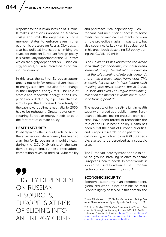response to the Russian invasion of Ukraine. It makes sanctions imposed on Moscow costly, and limits the eagerness of some member states to enforce even higher economic pressure on Russia. Obviously, it also has political implications, limiting the space for efficient European foreign policy. It is particularly important for the CEE states which are highly dependent on Russian energy sources, but also interested in containing this country.

In this area, the call for European autonomy is not only for greater diversification of energy suppliers, but also for a change in the European energy mix. The role of atomic and renewable energy in the European Green Deal, a flagship EU initiative that aims to put the European Union firmly on the path towards climate neutrality by 2050, has to be rethought. Greater autonomy in securing European energy needs to be at the forefront of climate policy.

## HEALTH SECURITY

Probably in no other security-related sector, the experience of dependency has been so alarming for Europeans as in public health during the COVID-19 crisis. At the pandemic's beginning, ruthless international competition revealed medical vulnerability

99 HIGHLY DEPENDENT ON RUSSIAN RESOURCES, EUROPE IS AT RISK OF SLIDING INTO AN ENERGY CRISIS

and pharmaceutical dependency. Rich Europeans had no sufficient access to some medicines or medical treatments, or even simple protective masks. It was scary, but also sobering. As Luuk van Middelaar put it in his great book describing EU policy during the COVID-19 crisis:

*"The Covid crisis has reinforced the desire for a "strategic" economic, competition and industrial policy. The realization is dawning that the safeguarding of interests demands more than a free-market framework. This is clearly felt not just in Paris (where such thinking was never absent) but in Berlin, Brussels and even The Hague (traditionally reliant on the market's invisible hand). A historic turning point."*<sup>21</sup>

The necessity of being self-reliant in health security emerged as a public matter. European politicians, feeling pressure from citizens, have been forced to reconsider the role of the EU in health policy. Health has been put at the heart of Europe's priorities, and Europe's research-based pharmaceutical industry, which employs 830,000 people, started to be perceived as a strategic asset.

The European industry must be able to develop ground-breaking science to secure Europeans' health needs. In other words, it should be used to advance the European technological sovereignty in R&D<sup>22</sup>.

#### ECONOMIC SECURITY

Economic autonomy in an interdependent, globalized world is not possible. As Mark Leonard rightly observed in this domain, the

<sup>21</sup> Van Middelaar, L. (2021) *Pandemonium: Saving Europe*, Newcastle upon Tyne: Agenda Publishing, p. 161.

<sup>22</sup> Politico Studio (2022) "Can Europe Act in Time to Secure Its Strategic Autonomy in Health?", [in]: *Politico*, February 7. Available [online]: [https://www.politico.eu/](https://www.politico.eu/sponsored-content/can-europe-act-in-time-to-secure-its-strategic-autonomy-in-health/ ) [sponsored-content/can-europe-act-in-time-to-se](https://www.politico.eu/sponsored-content/can-europe-act-in-time-to-secure-its-strategic-autonomy-in-health/ )[cure-its-strategic-autonomy-in-health/](https://www.politico.eu/sponsored-content/can-europe-act-in-time-to-secure-its-strategic-autonomy-in-health/ )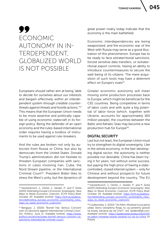TOMASZ KAMIŃSKI

045

# 99 ECONOMIC AUTONOMY IN IN-TERDEPENDENT, GLOBALIZED WORLD IS NOT POSSIBLE

Europeans should rather aim at being *"able to decide for ourselves about our interests and bargain effectively within an interdependent system through credible counterthreats against threats and hostile actions."*<sup>23</sup> This means that the European Union needs to be more assertive and politically capable of using economic statecraft in its foreign policy. Being the defender of an open economy and the rules-based international order requires having a toolbox of instruments to be used against rule-breakers.

And the rules are broken not only by autocrats from Russia or China, but also by democrats from the United States. Donald Trump's administration did not hesitate to threaten European companies with sanctions in cases involving Iran, Cuba, the Nord Stream pipeline, or the International Criminal Court<sup>24</sup>. President Biden likes to stress the West's unity, but the dynamics of great power rivalry today indicate that the economy *is* the main battlefield.

Economic interdependencies are being weaponized, and the economic war of the West with Russia may serve as a good illustration of this phenomenon. Europe has to be ready to face extraterritorial sanctions, forced sensitive data transfers, or extraterritorial export controls, having an ability to introduce countermeasures to secure the well-being of its citizens. The mere acquisition of such tools may have a deterrent effect on Europe's rivals<sup>25</sup>.

Greater economic autonomy will mean moving some production processes back to Europe, which might be beneficial for the CEE countries. Being competitive in terms of labor costs and with quite a big potential of labor force (which, together with Ukraine, accounts for approximately 160 million people), the countries between the Baltic and Adriatic Seas may become a new production hub for Europe<sup>26</sup>.

## DIGITAL SECURITY

Last but not least, the European Union must try to strengthen its digital sovereignty. Like in the whole economy, in the fast-developing digital sector, the autonomy is neither possible nor desirable. China has been trying it for years, not without some success, but paying the high price of having a statecontrolled, closed internet system – only for Chinese and without prospects for future development beyond the country. The EU

<sup>23</sup> Hackenbroich, J., Oertel, J., Sander, P., and P. Zerka (2020) *Defending Europe's Economic Sovereignty: New Ways to Resist Economic Coercion*, ECFR Policy Brief, October 20. Available [online]: [https://ecfr.eu/publica](https://ecfr.eu/publication/defending_europe_economic_sovereignty_new_ways_to_resist_economic_coercion/ )[tion/defending\\_europe\\_economic\\_sovereignty\\_new\\_](https://ecfr.eu/publication/defending_europe_economic_sovereignty_new_ways_to_resist_economic_coercion/ ) [ways\\_to\\_resist\\_economic\\_coercion/](https://ecfr.eu/publication/defending_europe_economic_sovereignty_new_ways_to_resist_economic_coercion/ ) 

<sup>24</sup> Barigazzi, J. (2020) "Borrell Has 'Serious Concern' over US Sanctions against International Criminal Court", [in]: Politico, June 11. Available [online]: [https://www.](https://www.politico.eu/article/josep-borrell-serious-concern-us-sanctions-international-criminal-court/ ) [politico.eu/article/josep-borrell-serious-concern-us](https://www.politico.eu/article/josep-borrell-serious-concern-us-sanctions-international-criminal-court/ )[sanctions-international-criminal-court/](https://www.politico.eu/article/josep-borrell-serious-concern-us-sanctions-international-criminal-court/ ) 

<sup>25</sup> Hackenbroich, J., Oertel, J., Sander, P., and P. Zerka (2020) *Defending Europe's Economic Sovereignty: New Ways to Resist Economic Coercion*, ECFR Policy Brief, October 20. Available [online]: [https://ecfr.eu/publica](https://ecfr.eu/publication/defending_europe_economic_sovereignty_new_ways_to_resist_economic_coercion/)[tion/defending\\_europe\\_economic\\_sovereignty\\_new\\_](https://ecfr.eu/publication/defending_europe_economic_sovereignty_new_ways_to_resist_economic_coercion/) [ways\\_to\\_resist\\_economic\\_coercion/](https://ecfr.eu/publication/defending_europe_economic_sovereignty_new_ways_to_resist_economic_coercion/)

<sup>26</sup> Czubkowska, S. (2022) "Oś Pekin-Moskwa to już jawny układ. Skoro odcięliśmy Rosję, to czy jesteśmy gotowi na koszty odcięcia się od Chin?", [in]: *SpidersWeb.com*. Available [online]: [https://spidersweb.pl/plus/2022/03/](https://spidersweb.pl/plus/2022/03/os-pekin-moskwa-wojna-ukraina-co-na-to-chiny) [os-pekin-moskwa-wojna-ukraina-co-na-to-chiny](https://spidersweb.pl/plus/2022/03/os-pekin-moskwa-wojna-ukraina-co-na-to-chiny) [in Polish]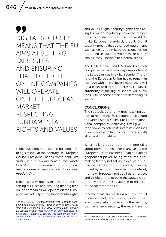# 99 DIGITAL SECURITY MEANS THAT THE EU AIMS AT SETTING FAIR RULES AND ENSURING THAT BIG TECH ONLINE COMPANIES WILL OPFRATE ON THE EUROPEAN MARKET RESPECTING FUNDAMENTAL RIGHTS AND VALUES

is obviously not interested in building anything similar. On the contrary, as European Council President Charles Michel said: *"We must use our new digital resources wisely to protect the 'environment' of our fundamental values – democracy and individual freedoms"*27.

Digital security means that the EU aims at setting fair rules and ensuring that big tech online companies will operate on the European market respecting fundamental rights

and values. Digital security signifies also using European regulatory power to project those high standards across the world, to make European standards global. Digital security means that advanced equipment, such as chips and microprocessors, will be produced in Europe, which make supply chains less vulnerable to external crises.

The United States and U.S.-based big tech companies will not be always supportive of the European way to digital security. Therefore, the European Union has to remain in dialogue with them. Nevertheless, there will be a clash of different interests. However, autonomy in the digital sphere will allow the EU to become efficient in defending its stance.

# CONCLUSIONS

The strategic autonomy means taking action to reduce the EU's dependencies from the United States, China, Russia, or multinational companies. Achieving it will give Europe power to defend its interests in clashes or dialogues with friends and enemies, with allies and competitors.

When talking about autonomy, one talks about power politics. For many years, the European Union has been unable to act as geopolitical player, being rather the rulemaking factory not set up to deal with sudden events<sup>28</sup>. In the last few years, however, forced by various crises it had to confront, the new European politics has emerged, and visible efforts to build the strategic autonomy are the best evidence of this profound metamorphosis.

In some areas, such as food security, the EU is independent, which gives it power to act – including helping others. In other sectors, such as energy security, the recent events

<sup>27</sup> Michel, C. (2021) *Digital Sovereignty Is Central to European Strategic Autonomy – Speech by President Charles Michel at "Masters of Digital 2021" Online Event*, February 3. Available [online]: [https://www.consilium.europa.eu/pl/](https://www.consilium.europa.eu/pl/press/press-releases/2021/02/03/speech-by-president-charles-michel-at-the-digitaleurope-masters-of-digital-online-event/ ) [press/press-releases/2021/02/03/speech-by-president](https://www.consilium.europa.eu/pl/press/press-releases/2021/02/03/speech-by-president-charles-michel-at-the-digitaleurope-masters-of-digital-online-event/ )[charles-michel-at-the-digitaleurope-masters-of-digital](https://www.consilium.europa.eu/pl/press/press-releases/2021/02/03/speech-by-president-charles-michel-at-the-digitaleurope-masters-of-digital-online-event/ )[online-event/](https://www.consilium.europa.eu/pl/press/press-releases/2021/02/03/speech-by-president-charles-michel-at-the-digitaleurope-masters-of-digital-online-event/ ) 

<sup>28</sup> Van Middelaar, L. (2021) *Pandemonium: Saving Europe*, Newcastle upon Tyne: Agenda Publishing.